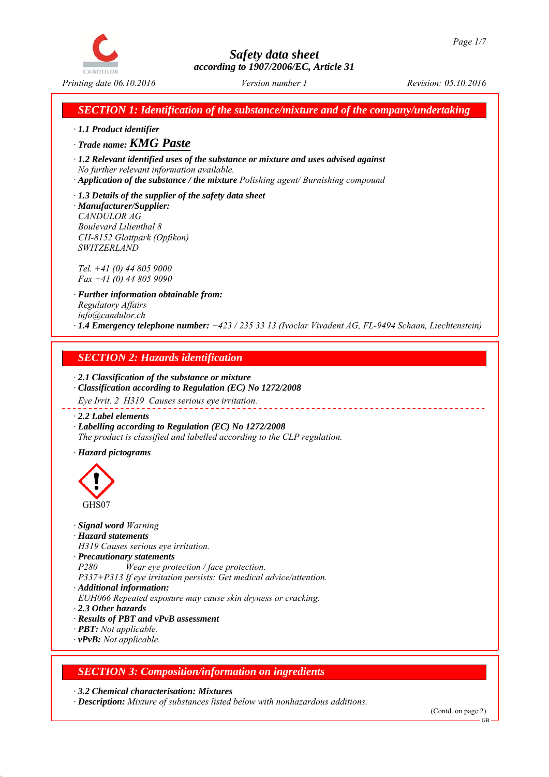

*SECTION 1: Identification of the substance/mixture and of the company/undertaking*

*∙ 1.1 Product identifier*

*∙ Trade name: KMG Paste*

*∙ 1.2 Relevant identified uses of the substance or mixture and uses advised against No further relevant information available.*

*∙ Application of the substance / the mixture Polishing agent/ Burnishing compound*

*∙ 1.3 Details of the supplier of the safety data sheet ∙ Manufacturer/Supplier: CANDULOR AG Boulevard Lilienthal 8 CH-8152 Glattpark (Opfikon) SWITZERLAND*

*Tel. +41 (0) 44 805 9000 Fax +41 (0) 44 805 9090*

*∙ Further information obtainable from: Regulatory Affairs info@candulor.ch ∙ 1.4 Emergency telephone number: +423 / 235 33 13 (Ivoclar Vivadent AG, FL-9494 Schaan, Liechtenstein)*

\_\_\_\_\_\_\_\_\_\_\_\_\_\_\_\_\_

## *SECTION 2: Hazards identification*

*∙ 2.1 Classification of the substance or mixture ∙ Classification according to Regulation (EC) No 1272/2008*

*Eye Irrit. 2 H319 Causes serious eye irritation.*

*∙ 2.2 Label elements*

*∙ Labelling according to Regulation (EC) No 1272/2008 The product is classified and labelled according to the CLP regulation.*

*∙ Hazard pictograms*



- *∙ Signal word Warning*
- *∙ Hazard statements*

*H319 Causes serious eye irritation.*

*∙ Precautionary statements*

*P280 Wear eye protection / face protection.*

- *P337+P313 If eye irritation persists: Get medical advice/attention.*
- *∙ Additional information:*
- *EUH066 Repeated exposure may cause skin dryness or cracking.*
- *∙ 2.3 Other hazards*
- *∙ Results of PBT and vPvB assessment*
- *∙ PBT: Not applicable.*
- *∙ vPvB: Not applicable.*

## *SECTION 3: Composition/information on ingredients*

*∙ 3.2 Chemical characterisation: Mixtures*

*∙ Description: Mixture of substances listed below with nonhazardous additions.*

GB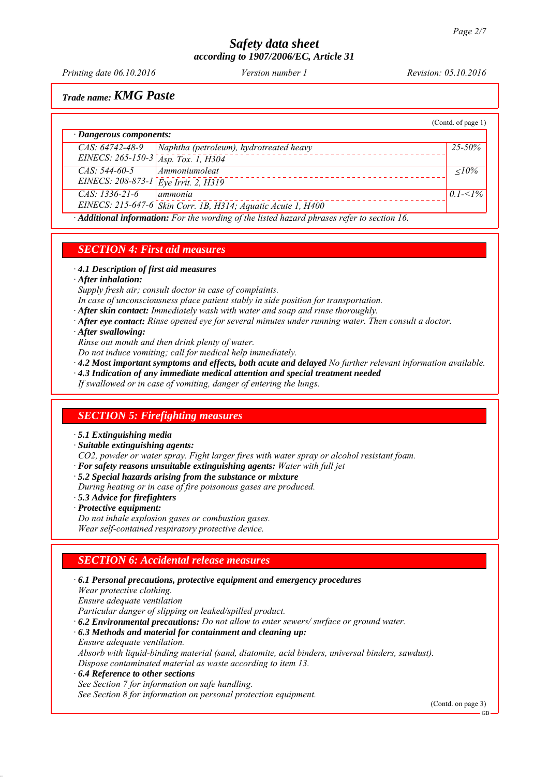*Printing date 06.10.2016 Revision: 05.10.2016 Version number 1*

*Trade name: KMG Paste*

|                                                                                                  |                                                              | (Contd. of page 1) |  |
|--------------------------------------------------------------------------------------------------|--------------------------------------------------------------|--------------------|--|
| · Dangerous components:                                                                          |                                                              |                    |  |
| $CAS: 64742-48-9$                                                                                | Naphtha (petroleum), hydrotreated heavy                      | $25 - 50\%$        |  |
| EINECS: 265-150-3 Asp. Tox. 1, H304                                                              |                                                              |                    |  |
| $CAS: 544-60-5$                                                                                  | Ammoniumoleat                                                | $\langle 10\%$     |  |
| EINECS: $208-873-1$ $\bar{E}ye$ Irrit. 2, H319                                                   |                                                              |                    |  |
| $CAS: 1336-21-6$                                                                                 | ammonia                                                      | 0.1- $<$ 1%        |  |
|                                                                                                  | EINECS: 215-647-6 Skin Corr. 1B, H314; Aquatic Acute 1, H400 |                    |  |
| $\cdot$ Additional information: For the wording of the listed hazard phrases refer to section 16 |                                                              |                    |  |

*∙ Additional information: For the wording of the listed hazard phrases refer to section 16.*

#### *SECTION 4: First aid measures*

*∙ 4.1 Description of first aid measures*

*∙ After inhalation:*

*Supply fresh air; consult doctor in case of complaints.*

*In case of unconsciousness place patient stably in side position for transportation.*

*∙ After skin contact: Immediately wash with water and soap and rinse thoroughly.*

*∙ After eye contact: Rinse opened eye for several minutes under running water. Then consult a doctor.*

*∙ After swallowing:*

*Rinse out mouth and then drink plenty of water.*

*Do not induce vomiting; call for medical help immediately.*

*∙ 4.2 Most important symptoms and effects, both acute and delayed No further relevant information available.*

*∙ 4.3 Indication of any immediate medical attention and special treatment needed*

*If swallowed or in case of vomiting, danger of entering the lungs.*

#### *SECTION 5: Firefighting measures*

*∙ 5.1 Extinguishing media*

*∙ Suitable extinguishing agents:*

*CO2, powder or water spray. Fight larger fires with water spray or alcohol resistant foam.*

- *∙ For safety reasons unsuitable extinguishing agents: Water with full jet*
- *∙ 5.2 Special hazards arising from the substance or mixture*

*During heating or in case of fire poisonous gases are produced.*

*∙ 5.3 Advice for firefighters*

- *∙ Protective equipment:*
- *Do not inhale explosion gases or combustion gases. Wear self-contained respiratory protective device.*

#### *SECTION 6: Accidental release measures*

*∙ 6.1 Personal precautions, protective equipment and emergency procedures Wear protective clothing. Ensure adequate ventilation Particular danger of slipping on leaked/spilled product. ∙ 6.2 Environmental precautions: Do not allow to enter sewers/ surface or ground water. ∙ 6.3 Methods and material for containment and cleaning up: Ensure adequate ventilation. Absorb with liquid-binding material (sand, diatomite, acid binders, universal binders, sawdust). Dispose contaminated material as waste according to item 13. ∙ 6.4 Reference to other sections See Section 7 for information on safe handling. See Section 8 for information on personal protection equipment.*

(Contd. on page 3)

GB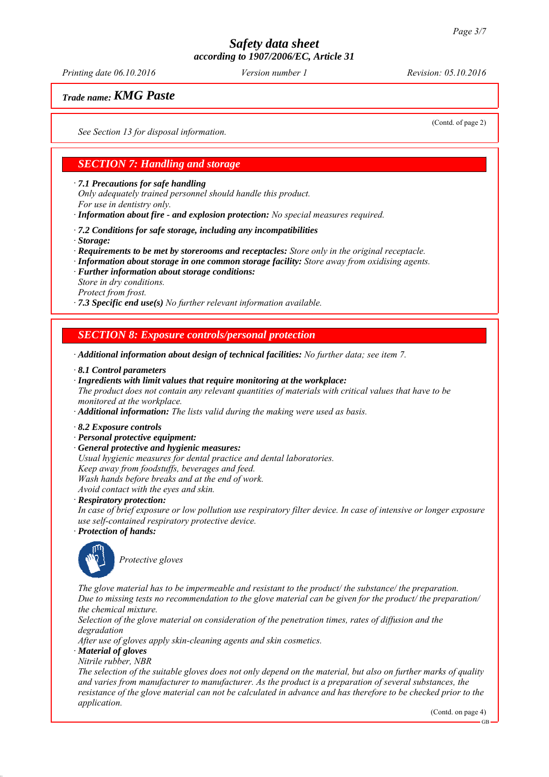*Printing date 06.10.2016 Revision: 05.10.2016 Version number 1*

## *Trade name: KMG Paste*

*See Section 13 for disposal information.*

(Contd. of page 2)

## *SECTION 7: Handling and storage*

*∙ 7.1 Precautions for safe handling*

*Only adequately trained personnel should handle this product.*

*For use in dentistry only.*

*∙ Information about fire - and explosion protection: No special measures required.*

*∙ 7.2 Conditions for safe storage, including any incompatibilities*

- *∙ Storage:*
- *∙ Requirements to be met by storerooms and receptacles: Store only in the original receptacle.*
- *∙ Information about storage in one common storage facility: Store away from oxidising agents.*
- *∙ Further information about storage conditions: Store in dry conditions.*

*Protect from frost.*

*∙ 7.3 Specific end use(s) No further relevant information available.*

#### *SECTION 8: Exposure controls/personal protection*

*∙ Additional information about design of technical facilities: No further data; see item 7.*

- *∙ 8.1 Control parameters*
- *∙ Ingredients with limit values that require monitoring at the workplace:*

*The product does not contain any relevant quantities of materials with critical values that have to be monitored at the workplace.*

*∙ Additional information: The lists valid during the making were used as basis.*

- *∙ 8.2 Exposure controls*
- *∙ Personal protective equipment:*
- *∙ General protective and hygienic measures:*
- *Usual hygienic measures for dental practice and dental laboratories.*

*Keep away from foodstuffs, beverages and feed.*

*Wash hands before breaks and at the end of work.*

*Avoid contact with the eyes and skin.*

*∙ Respiratory protection:*

*In case of brief exposure or low pollution use respiratory filter device. In case of intensive or longer exposure use self-contained respiratory protective device.*

*∙ Protection of hands:*



*Protective gloves*

*The glove material has to be impermeable and resistant to the product/ the substance/ the preparation. Due to missing tests no recommendation to the glove material can be given for the product/ the preparation/ the chemical mixture.*

*Selection of the glove material on consideration of the penetration times, rates of diffusion and the degradation*

*After use of gloves apply skin-cleaning agents and skin cosmetics.*

*∙ Material of gloves*

*Nitrile rubber, NBR*

*The selection of the suitable gloves does not only depend on the material, but also on further marks of quality and varies from manufacturer to manufacturer. As the product is a preparation of several substances, the resistance of the glove material can not be calculated in advance and has therefore to be checked prior to the application.*

(Contd. on page 4)

GB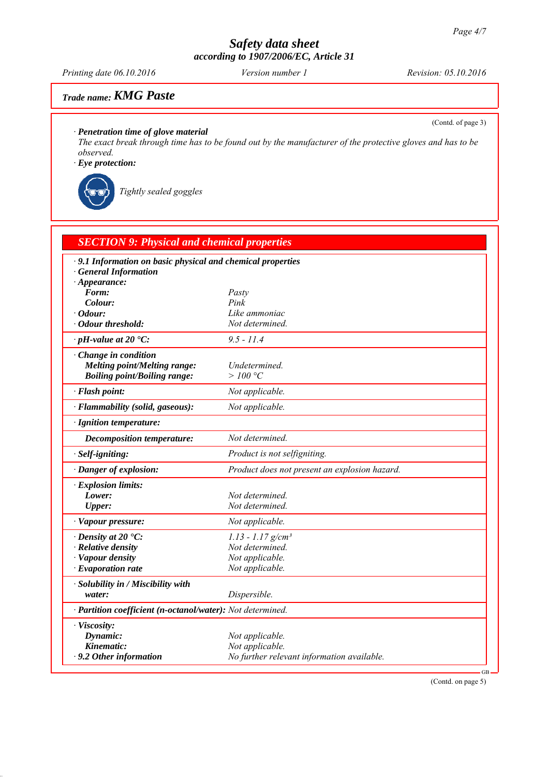*Printing date 06.10.2016 Revision: 05.10.2016 Version number 1*

# *Trade name: KMG Paste*

(Contd. of page 3)

*∙ Penetration time of glove material*

*The exact break through time has to be found out by the manufacturer of the protective gloves and has to be observed.*

*∙ Eye protection:*

*Tightly sealed goggles*

| <b>SECTION 9: Physical and chemical properties</b>                                              |                                               |  |  |  |
|-------------------------------------------------------------------------------------------------|-----------------------------------------------|--|--|--|
| $\cdot$ 9.1 Information on basic physical and chemical properties<br><b>General Information</b> |                                               |  |  |  |
| $\cdot$ Appearance:<br>Form:                                                                    | Pasty                                         |  |  |  |
| Colour:                                                                                         | Pink                                          |  |  |  |
| $\cdot$ Odour:                                                                                  | Like ammoniac                                 |  |  |  |
| · Odour threshold:                                                                              | Not determined.                               |  |  |  |
| $\cdot$ pH-value at 20 $\textdegree$ C:                                                         | $9.5 - 11.4$                                  |  |  |  |
| $\cdot$ Change in condition                                                                     |                                               |  |  |  |
| <b>Melting point/Melting range:</b>                                                             | Undetermined.                                 |  |  |  |
| <b>Boiling point/Boiling range:</b>                                                             | >100 °C                                       |  |  |  |
| · Flash point:                                                                                  | Not applicable.                               |  |  |  |
| · Flammability (solid, gaseous):                                                                | Not applicable.                               |  |  |  |
| · Ignition temperature:                                                                         |                                               |  |  |  |
| Decomposition temperature:                                                                      | Not determined.                               |  |  |  |
| · Self-igniting:                                                                                | Product is not selfigniting.                  |  |  |  |
| · Danger of explosion:                                                                          | Product does not present an explosion hazard. |  |  |  |
| $\cdot$ Explosion limits:                                                                       |                                               |  |  |  |
| Lower:                                                                                          | Not determined.                               |  |  |  |
| <b>Upper:</b>                                                                                   | Not determined.                               |  |  |  |
| · Vapour pressure:                                                                              | Not applicable.                               |  |  |  |
| $\cdot$ Density at 20 $\cdot$ C:                                                                | $1.13 - 1.17$ g/cm <sup>3</sup>               |  |  |  |
| · Relative density                                                                              | Not determined.                               |  |  |  |
| · Vapour density                                                                                | Not applicable.                               |  |  |  |
| $\cdot$ Evaporation rate                                                                        | Not applicable.                               |  |  |  |
| · Solubility in / Miscibility with                                                              |                                               |  |  |  |
| water:                                                                                          | Dispersible.                                  |  |  |  |
| · Partition coefficient (n-octanol/water): Not determined.                                      |                                               |  |  |  |
| · Viscosity:                                                                                    |                                               |  |  |  |
| Dynamic:                                                                                        | Not applicable.                               |  |  |  |
| Kinematic:                                                                                      | Not applicable.                               |  |  |  |
| $\cdot$ 9.2 Other information                                                                   | No further relevant information available.    |  |  |  |

(Contd. on page 5)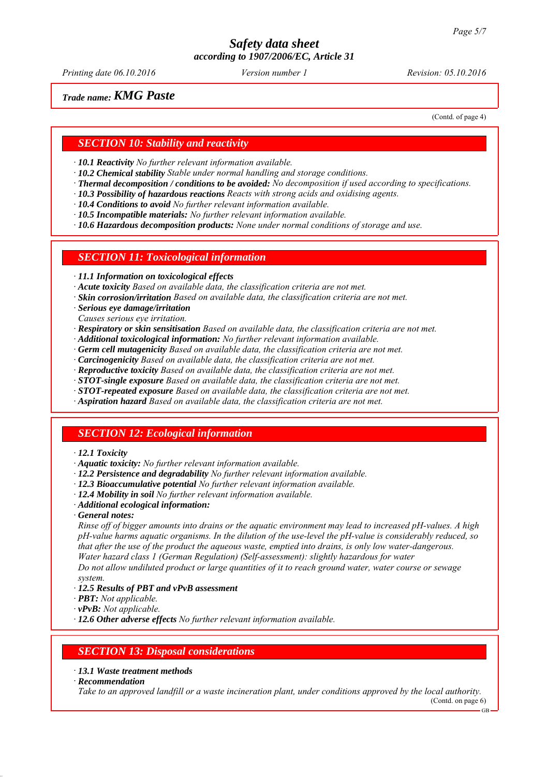*Printing date 06.10.2016 Revision: 05.10.2016 Version number 1*

## *Trade name: KMG Paste*

(Contd. of page 4)

#### *SECTION 10: Stability and reactivity*

*∙ 10.1 Reactivity No further relevant information available.*

- *∙ 10.2 Chemical stability Stable under normal handling and storage conditions.*
- *∙ Thermal decomposition / conditions to be avoided: No decomposition if used according to specifications.*
- *∙ 10.3 Possibility of hazardous reactions Reacts with strong acids and oxidising agents.*
- *∙ 10.4 Conditions to avoid No further relevant information available.*
- *∙ 10.5 Incompatible materials: No further relevant information available.*

*∙ 10.6 Hazardous decomposition products: None under normal conditions of storage and use.*

#### *SECTION 11: Toxicological information*

*∙ 11.1 Information on toxicological effects*

*∙ Acute toxicity Based on available data, the classification criteria are not met.*

- *∙ Skin corrosion/irritation Based on available data, the classification criteria are not met.*
- *∙ Serious eye damage/irritation*
- *Causes serious eye irritation.*
- *∙ Respiratory or skin sensitisation Based on available data, the classification criteria are not met.*
- *∙ Additional toxicological information: No further relevant information available.*
- *∙ Germ cell mutagenicity Based on available data, the classification criteria are not met.*
- *∙ Carcinogenicity Based on available data, the classification criteria are not met.*
- *∙ Reproductive toxicity Based on available data, the classification criteria are not met.*
- *∙ STOT-single exposure Based on available data, the classification criteria are not met.*
- *∙ STOT-repeated exposure Based on available data, the classification criteria are not met.*
- *∙ Aspiration hazard Based on available data, the classification criteria are not met.*

#### *SECTION 12: Ecological information*

#### *∙ 12.1 Toxicity*

- *∙ Aquatic toxicity: No further relevant information available.*
- *∙ 12.2 Persistence and degradability No further relevant information available.*
- *∙ 12.3 Bioaccumulative potential No further relevant information available.*
- *∙ 12.4 Mobility in soil No further relevant information available.*
- *∙ Additional ecological information:*
- *∙ General notes:*

*Rinse off of bigger amounts into drains or the aquatic environment may lead to increased pH-values. A high pH-value harms aquatic organisms. In the dilution of the use-level the pH-value is considerably reduced, so that after the use of the product the aqueous waste, emptied into drains, is only low water-dangerous. Water hazard class 1 (German Regulation) (Self-assessment): slightly hazardous for water*

*Do not allow undiluted product or large quantities of it to reach ground water, water course or sewage system.*

- *∙ 12.5 Results of PBT and vPvB assessment*
- *∙ PBT: Not applicable.*
- *∙ vPvB: Not applicable.*
- *∙ 12.6 Other adverse effects No further relevant information available.*

#### *SECTION 13: Disposal considerations*

#### *∙ 13.1 Waste treatment methods*

*∙ Recommendation*

*Take to an approved landfill or a waste incineration plant, under conditions approved by the local authority.*

(Contd. on page 6) GB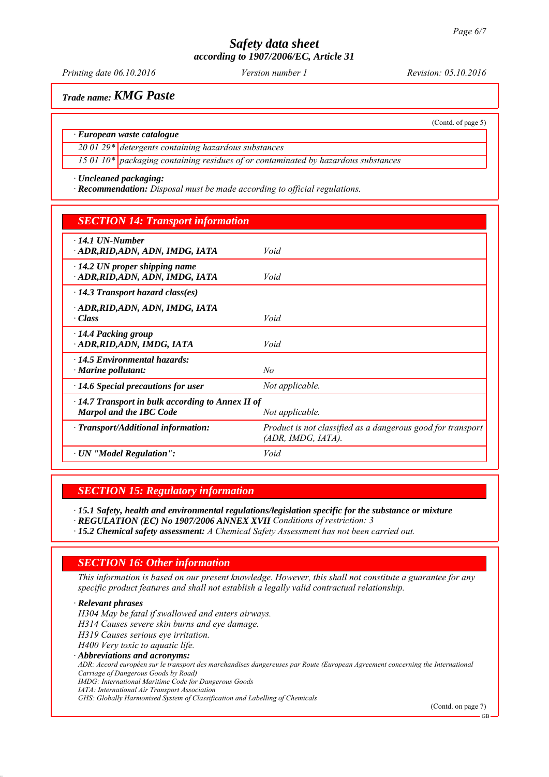*Printing date 06.10.2016 Revision: 05.10.2016 Version number 1*

(Contd. of page 5)

*Trade name: KMG Paste*

#### *∙ European waste catalogue*

*20 01 29\* detergents containing hazardous substances*

*15 01 10\* packaging containing residues of or contaminated by hazardous substances*

*∙ Uncleaned packaging:*

*∙ Recommendation: Disposal must be made according to official regulations.*

## *SECTION 14: Transport information*

| $\cdot$ 14.1 UN-Number                                  |                                                             |  |  |  |
|---------------------------------------------------------|-------------------------------------------------------------|--|--|--|
| · ADR, RID, ADN, ADN, IMDG, IATA                        | Void                                                        |  |  |  |
|                                                         |                                                             |  |  |  |
| $\cdot$ 14.2 UN proper shipping name                    |                                                             |  |  |  |
| ADR, RID, ADN, ADN, IMDG, IATA                          | Void                                                        |  |  |  |
| $\cdot$ 14.3 Transport hazard class(es)                 |                                                             |  |  |  |
| · ADR, RID, ADN, ADN, IMDG, IATA                        |                                                             |  |  |  |
| · Class                                                 | Void                                                        |  |  |  |
|                                                         |                                                             |  |  |  |
| 14.4 Packing group                                      |                                                             |  |  |  |
| · ADR, RID, ADN, IMDG, IATA                             | Void                                                        |  |  |  |
| $\cdot$ 14.5 Environmental hazards:                     |                                                             |  |  |  |
|                                                         | No                                                          |  |  |  |
| $\cdot$ Marine pollutant:                               |                                                             |  |  |  |
| $\cdot$ 14.6 Special precautions for user               | Not applicable.                                             |  |  |  |
| $\cdot$ 14.7 Transport in bulk according to Annex II of |                                                             |  |  |  |
| <b>Marpol and the IBC Code</b>                          | Not applicable.                                             |  |  |  |
|                                                         |                                                             |  |  |  |
| · Transport/Additional information:                     | Product is not classified as a dangerous good for transport |  |  |  |
|                                                         | (ADR, IMDG, IATA).                                          |  |  |  |
|                                                         |                                                             |  |  |  |
| $\cdot$ UN "Model Regulation":                          | Void                                                        |  |  |  |
|                                                         |                                                             |  |  |  |

#### *SECTION 15: Regulatory information*

*∙ 15.1 Safety, health and environmental regulations/legislation specific for the substance or mixture*

*∙ REGULATION (EC) No 1907/2006 ANNEX XVII Conditions of restriction: 3*

*∙ 15.2 Chemical safety assessment: A Chemical Safety Assessment has not been carried out.*

#### *SECTION 16: Other information*

*This information is based on our present knowledge. However, this shall not constitute a guarantee for any specific product features and shall not establish a legally valid contractual relationship.*

*∙ Relevant phrases H304 May be fatal if swallowed and enters airways. H314 Causes severe skin burns and eye damage. H319 Causes serious eye irritation. H400 Very toxic to aquatic life. ∙ Abbreviations and acronyms: ADR: Accord européen sur le transport des marchandises dangereuses par Route (European Agreement concerning the International Carriage of Dangerous Goods by Road) IMDG: International Maritime Code for Dangerous Goods IATA: International Air Transport Association GHS: Globally Harmonised System of Classification and Labelling of Chemicals*

(Contd. on page 7)

GB